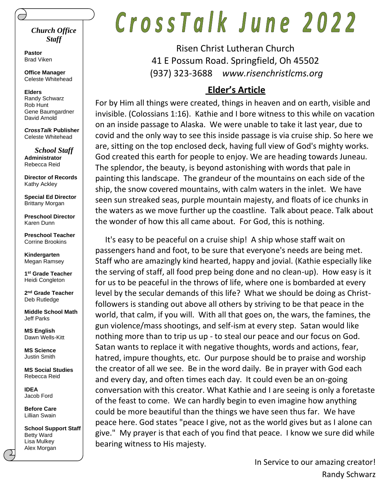#### *Church Office Staff*

**Pastor** Brad Viken

**Office Manager** Celeste Whitehead

**Elders** Randy Schwarz Rob Hunt Gene Baumgardner David Arnold

*CrossTalk* **Publisher** Celeste Whitehead

*School Staff* **Administrator** Rebecca Reid

**Director of Records** Kathy Ackley

**Special Ed Director** Brittany Morgan

**Preschool Director** Karen Dunn

**Preschool Teacher** Corrine Brookins

**Kindergarten** Megan Ramsey

**1 st Grade Teacher** Heidi Congleton

**2 nd Grade Teacher** Deb Rutledge

**Middle School Math** Jeff Parks

**MS English** Dawn Wells-Kitt

**MS Science** Justin Smith

**MS Social Studies** Rebecca Reid

**IDEA** Jacob Ford

**Before Care** Lillian Swain

**School Support Staff** Betty Ward Lisa Mulkey Alex Morgan

# CrossTalk June 2022

Risen Christ Lutheran Church 41 E Possum Road. Springfield, Oh 45502 (937) 323-3688 *www.risenchristlcms.org*

#### **Elder's Article**

For by Him all things were created, things in heaven and on earth, visible and invisible. (Colossians 1:16). Kathie and I bore witness to this while on vacation on an inside passage to Alaska. We were unable to take it last year, due to covid and the only way to see this inside passage is via cruise ship. So here we are, sitting on the top enclosed deck, having full view of God's mighty works. God created this earth for people to enjoy. We are heading towards Juneau. The splendor, the beauty, is beyond astonishing with words that pale in painting this landscape. The grandeur of the mountains on each side of the ship, the snow covered mountains, with calm waters in the inlet. We have seen sun streaked seas, purple mountain majesty, and floats of ice chunks in the waters as we move further up the coastline. Talk about peace. Talk about the wonder of how this all came about. For God, this is nothing.

 It's easy to be peaceful on a cruise ship! A ship whose staff wait on passengers hand and foot, to be sure that everyone's needs are being met. Staff who are amazingly kind hearted, happy and jovial. (Kathie especially like the serving of staff, all food prep being done and no clean-up). How easy is it for us to be peaceful in the throws of life, where one is bombarded at every level by the secular demands of this life? What we should be doing as Christfollowers is standing out above all others by striving to be that peace in the world, that calm, if you will. With all that goes on, the wars, the famines, the gun violence/mass shootings, and self-ism at every step. Satan would like nothing more than to trip us up - to steal our peace and our focus on God. Satan wants to replace it with negative thoughts, words and actions, fear, hatred, impure thoughts, etc. Our purpose should be to praise and worship the creator of all we see. Be in the word daily. Be in prayer with God each and every day, and often times each day. It could even be an on-going conversation with this creator. What Kathie and I are seeing is only a foretaste of the feast to come. We can hardly begin to even imagine how anything could be more beautiful than the things we have seen thus far. We have peace here. God states "peace I give, not as the world gives but as I alone can give." My prayer is that each of you find that peace. I know we sure did while bearing witness to His majesty.

> In Service to our amazing creator! Randy Schwarz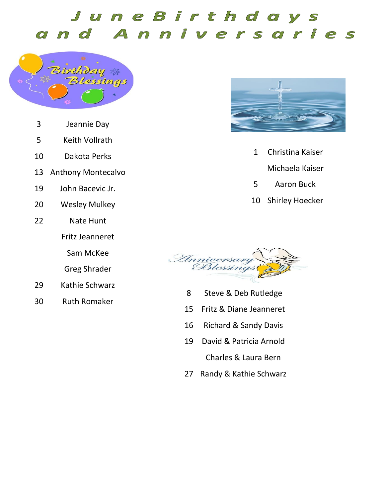#### JuneBirthdays Anniversaries d  $\widehat{C}$  $\sqrt{2}$



- Jeannie Day
- Keith Vollrath
- Dakota Perks
- Anthony Montecalvo
- John Bacevic Jr.
- Wesley Mulkey
- Nate Hunt
	- Fritz Jeanneret

Sam McKee

Greg Shrader

- Kathie Schwarz
- Ruth Romaker



- Christina Kaiser Michaela Kaiser
- Aaron Buck
- Shirley Hoecker



- Steve & Deb Rutledge
- Fritz & Diane Jeanneret
- Richard & Sandy Davis
- David & Patricia Arnold Charles & Laura Bern
- Randy & Kathie Schwarz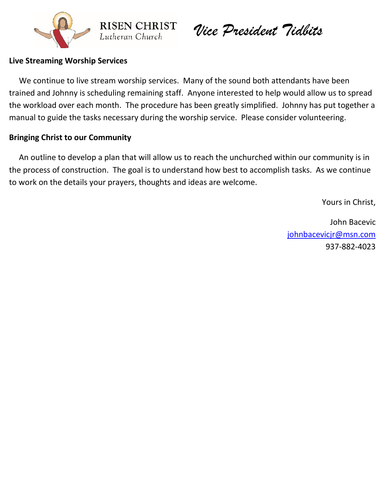

*Vice President Tidbits*

#### **Live Streaming Worship Services**

 We continue to live stream worship services. Many of the sound both attendants have been trained and Johnny is scheduling remaining staff. Anyone interested to help would allow us to spread the workload over each month. The procedure has been greatly simplified. Johnny has put together a manual to guide the tasks necessary during the worship service. Please consider volunteering.

**RISEN CHRIST** 

Lutheran Church

#### **Bringing Christ to our Community**

 An outline to develop a plan that will allow us to reach the unchurched within our community is in the process of construction. The goal is to understand how best to accomplish tasks. As we continue to work on the details your prayers, thoughts and ideas are welcome.

Yours in Christ,

John Bacevic [johnbacevicjr@msn.com](mailto:johnbacevicjr@msn.com) 937-882-4023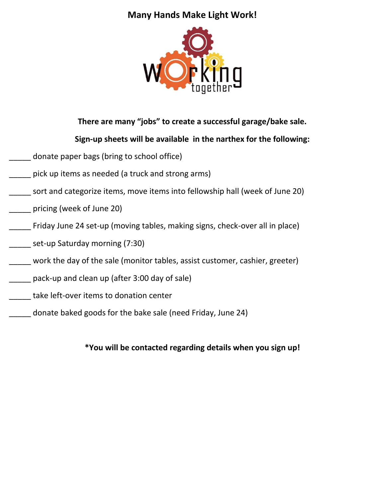### **Many Hands Make Light Work!**



#### **There are many "jobs" to create a successful garage/bake sale.**

#### **Sign-up sheets will be available in the narthex for the following:**

- donate paper bags (bring to school office)
- pick up items as needed (a truck and strong arms)
- sort and categorize items, move items into fellowship hall (week of June 20)
- \_\_\_\_\_ pricing (week of June 20)
- \_\_\_\_\_ Friday June 24 set-up (moving tables, making signs, check-over all in place)
- \_\_\_\_\_ set-up Saturday morning (7:30)
- work the day of the sale (monitor tables, assist customer, cashier, greeter)
- \_\_\_\_\_ pack-up and clean up (after 3:00 day of sale)
- \_\_\_\_\_ take left-over items to donation center
- \_\_\_\_\_ donate baked goods for the bake sale (need Friday, June 24)

#### **\*You will be contacted regarding details when you sign up!**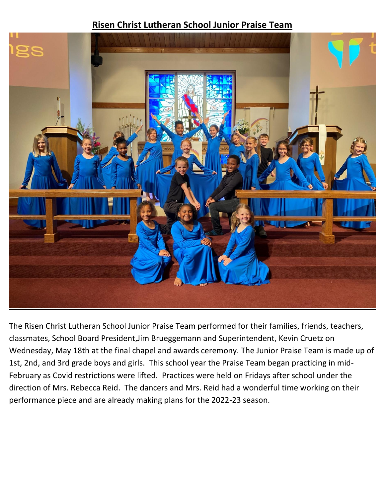#### **Risen Christ Lutheran School Junior Praise Team**



The Risen Christ Lutheran School Junior Praise Team performed for their families, friends, teachers, classmates, School Board President,Jim Brueggemann and Superintendent, Kevin Cruetz on Wednesday, May 18th at the final chapel and awards ceremony. The Junior Praise Team is made up of 1st, 2nd, and 3rd grade boys and girls. This school year the Praise Team began practicing in mid-February as Covid restrictions were lifted. Practices were held on Fridays after school under the direction of Mrs. Rebecca Reid. The dancers and Mrs. Reid had a wonderful time working on their performance piece and are already making plans for the 2022-23 season.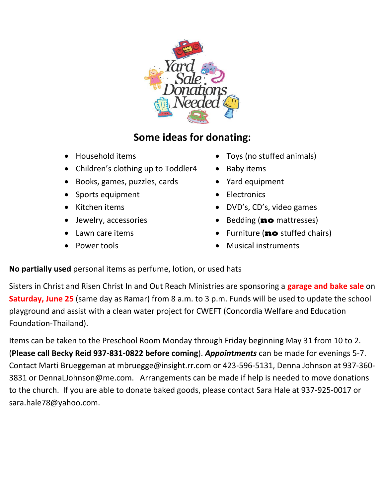

## **Some ideas for donating:**

- 
- Children's clothing up to Toddler4 Baby items
- Books, games, puzzles, cards Yard equipment
- Sports equipment Electronics
- 
- 
- 
- 
- Household items Toys (no stuffed animals)
	-
	-
	-
- Kitchen items DVD's, CD's, video games
- Jewelry, accessories Bedding (**no** mattresses)
	- Lawn care items Furniture (**no** stuffed chairs)
	- Power tools Musical instruments

**No partially used** personal items as perfume, lotion, or used hats

Sisters in Christ and Risen Christ In and Out Reach Ministries are sponsoring a **garage and bake sale** on **Saturday, June 25** (same day as Ramar) from 8 a.m. to 3 p.m. Funds will be used to update the school playground and assist with a clean water project for CWEFT (Concordia Welfare and Education Foundation-Thailand).

Items can be taken to the Preschool Room Monday through Friday beginning May 31 from 10 to 2. (**Please call Becky Reid 937-831-0822 before coming**). *Appointments* can be made for evenings 5-7. Contact Marti Brueggeman at mbruegge@insight.rr.com or 423-596-5131, Denna Johnson at 937-360- 3831 or DennaLJohnson@me.com. Arrangements can be made if help is needed to move donations to the church. If you are able to donate baked goods, please contact Sara Hale at 937-925-0017 or sara.hale78@yahoo.com.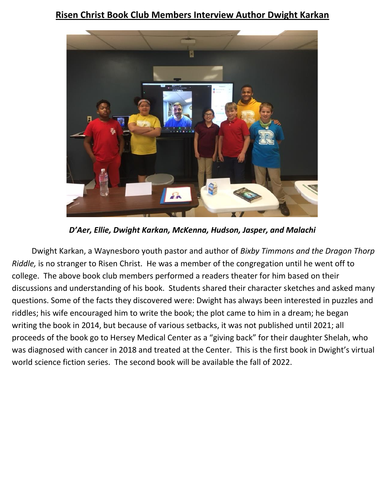#### **Risen Christ Book Club Members Interview Author Dwight Karkan**



*D'Aer, Ellie, Dwight Karkan, McKenna, Hudson, Jasper, and Malachi*

Dwight Karkan, a Waynesboro youth pastor and author of *Bixby Timmons and the Dragon Thorp Riddle,* is no stranger to Risen Christ. He was a member of the congregation until he went off to college. The above book club members performed a readers theater for him based on their discussions and understanding of his book. Students shared their character sketches and asked many questions. Some of the facts they discovered were: Dwight has always been interested in puzzles and riddles; his wife encouraged him to write the book; the plot came to him in a dream; he began writing the book in 2014, but because of various setbacks, it was not published until 2021; all proceeds of the book go to Hersey Medical Center as a "giving back" for their daughter Shelah, who was diagnosed with cancer in 2018 and treated at the Center. This is the first book in Dwight's virtual world science fiction series. The second book will be available the fall of 2022.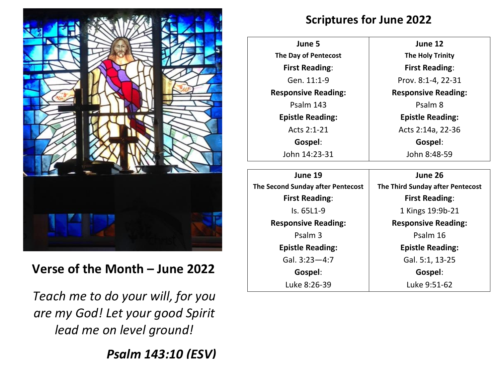

## **Verse of the Month – June 2022**

*Teach me to do your will, for you are my God! Let your good Spirit lead me on level ground!*

*Psalm 143:10 (ESV)*

## **Scriptures for June 2022**

**June 5 The Day of Pentecost First Reading**: Gen. 11:1-9 **Responsive Reading:** Psalm 143 **Epistle Reading:** Acts 2:1-21 **Gospel**: John 14:23-31

**June 19 The Second Sunday after Pentecost First Reading**: Is. 65L1-9 **Responsive Reading:** Psalm 3 **Epistle Reading:** Gal. 3:23—4:7 **Gospel**: Luke 8:26-39

**June 12 The Holy Trinity First Reading**: Prov. 8:1-4, 22-31 **Responsive Reading:** Psalm 8 **Epistle Reading:** Acts 2:14a, 22-36 **Gospel**: John 8:48-59

**June 26 The Third Sunday after Pentecost First Reading**: 1 Kings 19:9b-21 **Responsive Reading:** Psalm 16 **Epistle Reading:** Gal. 5:1, 13-25 **Gospel**: Luke 9:51-62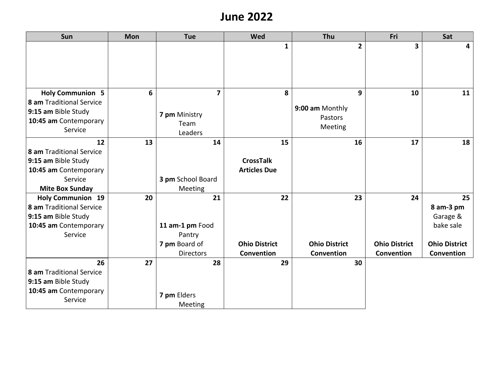## **June 2022**

| Sun                                             | Mon | <b>Tue</b>              | Wed                  | Thu                  | Fri                  | Sat                  |
|-------------------------------------------------|-----|-------------------------|----------------------|----------------------|----------------------|----------------------|
|                                                 |     |                         | $\mathbf{1}$         | $\overline{2}$       | 3                    | 4                    |
|                                                 |     |                         |                      |                      |                      |                      |
| <b>Holy Communion 5</b>                         | 6   | $\overline{\mathbf{z}}$ | 8                    | 9                    | 10                   | 11                   |
| 8 am Traditional Service<br>9:15 am Bible Study |     |                         |                      | 9:00 am Monthly      |                      |                      |
|                                                 |     | 7 pm Ministry           |                      | Pastors              |                      |                      |
| 10:45 am Contemporary<br>Service                |     | Team                    |                      | Meeting              |                      |                      |
|                                                 |     | Leaders                 |                      |                      |                      |                      |
| 12                                              | 13  | 14                      | 15                   | 16                   | 17                   | 18                   |
| 8 am Traditional Service                        |     |                         |                      |                      |                      |                      |
| 9:15 am Bible Study                             |     |                         | <b>CrossTalk</b>     |                      |                      |                      |
| 10:45 am Contemporary                           |     |                         | <b>Articles Due</b>  |                      |                      |                      |
| Service                                         |     | 3 pm School Board       |                      |                      |                      |                      |
| <b>Mite Box Sunday</b>                          |     | Meeting                 |                      |                      |                      |                      |
| <b>Holy Communion 19</b>                        | 20  | 21                      | 22                   | 23                   | 24                   | 25                   |
| 8 am Traditional Service                        |     |                         |                      |                      |                      | 8 am-3 pm            |
| 9:15 am Bible Study                             |     |                         |                      |                      |                      | Garage &             |
| 10:45 am Contemporary                           |     | 11 am-1 pm Food         |                      |                      |                      | bake sale            |
| Service                                         |     | Pantry                  |                      |                      |                      |                      |
|                                                 |     | 7 pm Board of           | <b>Ohio District</b> | <b>Ohio District</b> | <b>Ohio District</b> | <b>Ohio District</b> |
|                                                 |     | <b>Directors</b>        | Convention           | Convention           | Convention           | Convention           |
| 26                                              | 27  | 28                      | 29                   | 30                   |                      |                      |
| 8 am Traditional Service                        |     |                         |                      |                      |                      |                      |
| 9:15 am Bible Study                             |     |                         |                      |                      |                      |                      |
| 10:45 am Contemporary                           |     | 7 pm Elders             |                      |                      |                      |                      |
| Service                                         |     | Meeting                 |                      |                      |                      |                      |